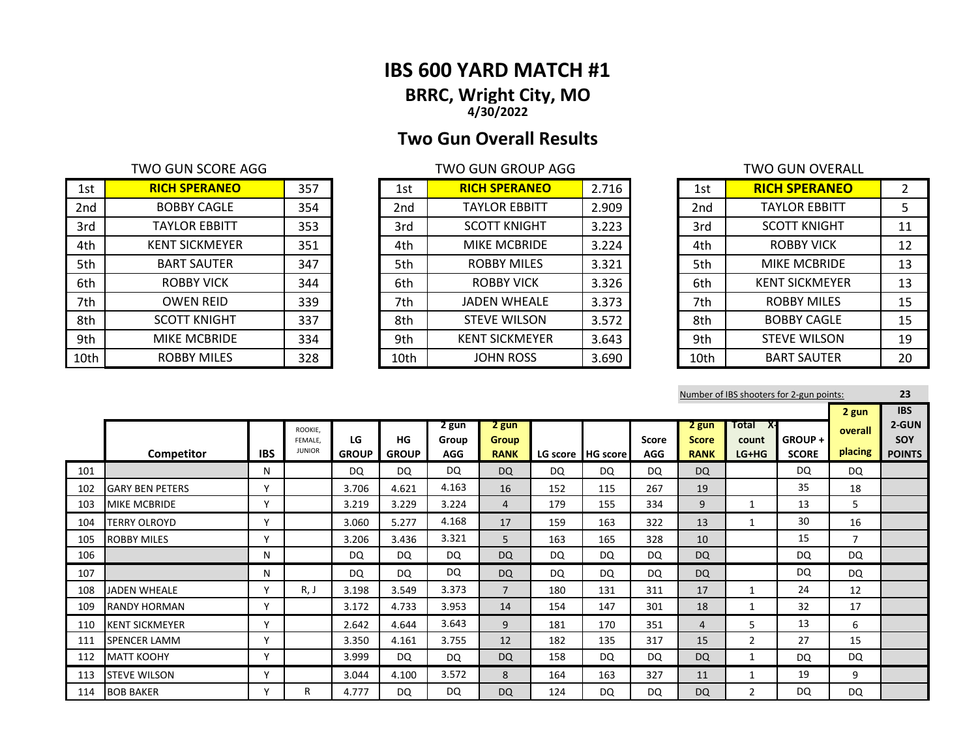## **IBS 600 YARD MATCH #1 BRRC, Wright City, MO 4/30/2022**

# **Two Gun Overall Results**

## TWO GUN SCORE AGG TWO GUN GROUP AGG

| 1st  | <b>RICH SPERANEO</b>  | 357 | 1st  | <b>RICH SPERANEO</b>  | 2.716 | 1st             | <b>RICH SPERANEO</b>  | $\overline{2}$ |
|------|-----------------------|-----|------|-----------------------|-------|-----------------|-----------------------|----------------|
| 2nd  | <b>BOBBY CAGLE</b>    | 354 | 2nd  | <b>TAYLOR EBBITT</b>  | 2.909 | 2 <sub>nd</sub> | <b>TAYLOR EBBITT</b>  | 5              |
| 3rd  | <b>TAYLOR EBBITT</b>  | 353 | 3rd  | <b>SCOTT KNIGHT</b>   | 3.223 | 3rd             | <b>SCOTT KNIGHT</b>   | 11             |
| 4th  | <b>KENT SICKMEYER</b> | 351 | 4th  | <b>MIKE MCBRIDE</b>   | 3.224 | 4th             | <b>ROBBY VICK</b>     | 12             |
| 5th  | <b>BART SAUTER</b>    | 347 | 5th  | <b>ROBBY MILES</b>    | 3.321 | 5th             | <b>MIKE MCBRIDE</b>   | 13             |
| 6th  | <b>ROBBY VICK</b>     | 344 | 6th  | <b>ROBBY VICK</b>     | 3.326 | 6th             | <b>KENT SICKMEYER</b> | 13             |
| 7th  | <b>OWEN REID</b>      | 339 | 7th  | <b>JADEN WHEALE</b>   | 3.373 | 7th             | <b>ROBBY MILES</b>    | 15             |
| 8th  | <b>SCOTT KNIGHT</b>   | 337 | 8th  | <b>STEVE WILSON</b>   | 3.572 | 8th             | <b>BOBBY CAGLE</b>    | 15             |
| 9th  | <b>MIKE MCBRIDE</b>   | 334 | 9th  | <b>KENT SICKMEYER</b> | 3.643 | 9th             | <b>STEVE WILSON</b>   | 19             |
| 10th | <b>ROBBY MILES</b>    | 328 | 10th | <b>JOHN ROSS</b>      | 3.690 | 10th            | <b>BART SAUTER</b>    | 20             |

| 1st             | <b>RICH SPERANEO</b>  | 2.716 |
|-----------------|-----------------------|-------|
| 2 <sub>nd</sub> | <b>TAYLOR EBBITT</b>  | 2.909 |
| 3rd             | <b>SCOTT KNIGHT</b>   | 3.223 |
| 4th             | <b>MIKE MCBRIDE</b>   | 3.224 |
| 5th             | <b>ROBBY MILES</b>    | 3.321 |
| 6th             | <b>ROBBY VICK</b>     | 3.326 |
| 7th             | <b>JADEN WHEALE</b>   | 3.373 |
| 8th             | <b>STEVE WILSON</b>   | 3.572 |
| 9th             | <b>KENT SICKMEYER</b> | 3.643 |
| 10th            | <b>JOHN ROSS</b>      | 3.690 |

|                 | TWO GUN OVERALL       |               |
|-----------------|-----------------------|---------------|
| 1st             | <b>RICH SPERANEO</b>  | $\mathcal{P}$ |
| 2 <sub>nd</sub> | <b>TAYLOR EBBITT</b>  | 5             |
| 3rd             | <b>SCOTT KNIGHT</b>   | 11            |
| 4th             | ROBBY VICK            | 12            |
| 5th             | <b>MIKE MCBRIDE</b>   | 13            |
| 6th             | <b>KENT SICKMEYER</b> | 13            |
| 7th             | <b>ROBBY MILES</b>    | 15            |
| 8th             | <b>BOBBY CAGLE</b>    | 15            |
| 9th             | <b>STEVE WILSON</b>   | 19            |
| 10th            | <b>BART SAUTER</b>    | 20            |

|     |                        |            |                          |              |              |                     |                             |     |                     |                     |                             |                  | Number of IBS shooters for 2-gun points: |                | 23            |
|-----|------------------------|------------|--------------------------|--------------|--------------|---------------------|-----------------------------|-----|---------------------|---------------------|-----------------------------|------------------|------------------------------------------|----------------|---------------|
|     |                        |            |                          |              |              |                     |                             |     |                     |                     |                             |                  |                                          | 2 gun          | <b>IBS</b>    |
|     |                        |            | ROOKIE,                  | LG           | HG           | 2 gun               | 2 gun                       |     |                     |                     | 2 gun                       | Total<br>X-      | GROUP+                                   | overall        | 2-GUN<br>SOY  |
|     | Competitor             | <b>IBS</b> | FEMALE.<br><b>JUNIOR</b> | <b>GROUP</b> | <b>GROUP</b> | Group<br><b>AGG</b> | <b>Group</b><br><b>RANK</b> |     | LG score   HG score | Score<br><b>AGG</b> | <b>Score</b><br><b>RANK</b> | count<br>$LG+HG$ | <b>SCORE</b>                             | placing        | <b>POINTS</b> |
| 101 |                        | N          |                          | <b>DQ</b>    | DQ           | DQ                  | <b>DQ</b>                   | DQ  | DQ.                 | DQ                  | <b>DQ</b>                   |                  | DQ                                       | <b>DQ</b>      |               |
| 102 | <b>GARY BEN PETERS</b> | v          |                          | 3.706        | 4.621        | 4.163               | 16                          | 152 | 115                 | 267                 | 19                          |                  | 35                                       | 18             |               |
| 103 | <b>MIKE MCBRIDE</b>    | v          |                          | 3.219        | 3.229        | 3.224               | 4                           | 179 | 155                 | 334                 | 9                           | 1                | 13                                       | 5              |               |
| 104 | <b>TERRY OLROYD</b>    | v          |                          | 3.060        | 5.277        | 4.168               | 17                          | 159 | 163                 | 322                 | 13                          | 1                | 30                                       | 16             |               |
| 105 | <b>ROBBY MILES</b>     | v          |                          | 3.206        | 3.436        | 3.321               | 5                           | 163 | 165                 | 328                 | 10                          |                  | 15                                       | $\overline{7}$ |               |
| 106 |                        | N          |                          | DQ           | DQ           | DQ                  | <b>DQ</b>                   | DQ  | DQ                  | DQ                  | <b>DQ</b>                   |                  | DQ                                       | <b>DQ</b>      |               |
| 107 |                        | N          |                          | DQ           | DQ           | DQ                  | DQ                          | DQ  | DQ                  | DQ                  | DQ                          |                  | DQ                                       | <b>DQ</b>      |               |
| 108 | <b>JADEN WHEALE</b>    | Υ          | R, J                     | 3.198        | 3.549        | 3.373               | $\overline{7}$              | 180 | 131                 | 311                 | 17                          | 1                | 24                                       | 12             |               |
| 109 | <b>RANDY HORMAN</b>    | v          |                          | 3.172        | 4.733        | 3.953               | 14                          | 154 | 147                 | 301                 | 18                          | 1                | 32                                       | 17             |               |
| 110 | <b>KENT SICKMEYER</b>  | Υ          |                          | 2.642        | 4.644        | 3.643               | 9                           | 181 | 170                 | 351                 | 4                           | 5                | 13                                       | 6              |               |
| 111 | SPENCER LAMM           | Y          |                          | 3.350        | 4.161        | 3.755               | 12                          | 182 | 135                 | 317                 | 15                          | $\overline{2}$   | 27                                       | 15             |               |
| 112 | <b>MATT KOOHY</b>      | Y          |                          | 3.999        | DQ           | DQ                  | <b>DQ</b>                   | 158 | <b>DQ</b>           | DQ                  | <b>DQ</b>                   | 1                | DQ                                       | DQ             |               |
| 113 | <b>STEVE WILSON</b>    | Υ          |                          | 3.044        | 4.100        | 3.572               | 8                           | 164 | 163                 | 327                 | 11                          | 1                | 19                                       | 9              |               |
| 114 | <b>BOB BAKER</b>       | Υ          | R                        | 4.777        | DQ           | DQ                  | DQ                          | 124 | DQ.                 | DQ                  | <b>DQ</b>                   | 2                | DQ                                       | DQ             |               |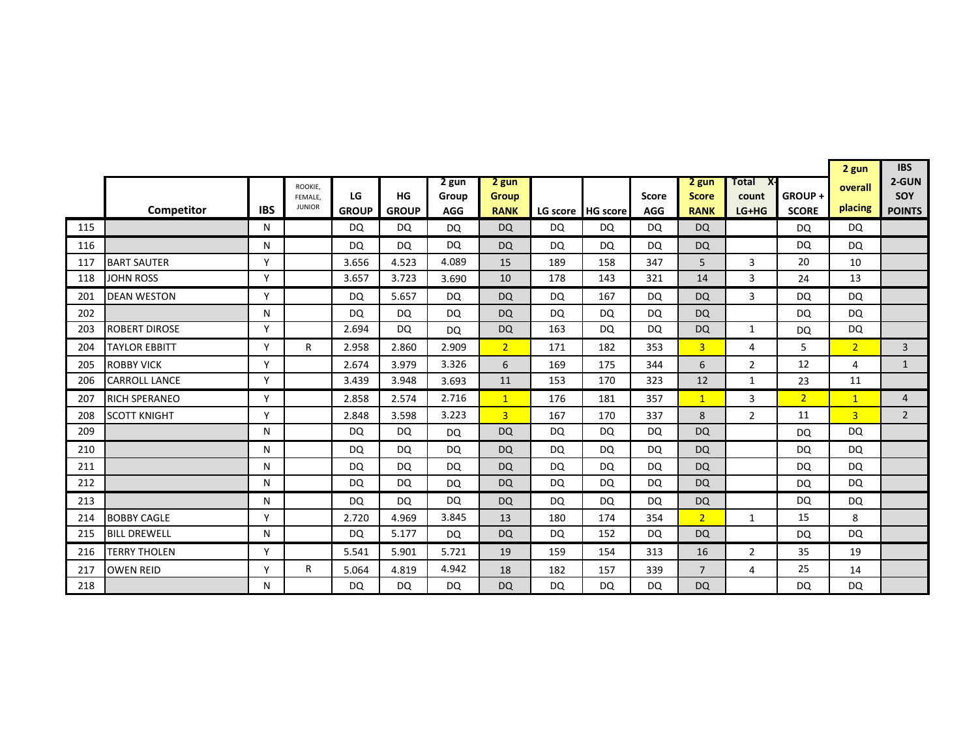|     |                      |              |                          |              |              |            |                |           |                   |              |                |                |                | 2 gun          | <b>IBS</b>     |
|-----|----------------------|--------------|--------------------------|--------------|--------------|------------|----------------|-----------|-------------------|--------------|----------------|----------------|----------------|----------------|----------------|
|     |                      |              | ROOKIE.                  |              |              | 2 gun      | 2 gun          |           |                   |              | 2 gun          | Total<br>X-    |                | overall        | 2-GUN          |
|     |                      |              | FEMALE,<br><b>JUNIOR</b> | LG           | HG           | Group      | <b>Group</b>   |           |                   | <b>Score</b> | <b>Score</b>   | count          | GROUP+         | placing        | SOY            |
|     | Competitor           | <b>IBS</b>   |                          | <b>GROUP</b> | <b>GROUP</b> | <b>AGG</b> | <b>RANK</b>    |           | LG score HG score | <b>AGG</b>   | <b>RANK</b>    | LG+HG          | <b>SCORE</b>   |                | <b>POINTS</b>  |
| 115 |                      | N            |                          | <b>DQ</b>    | DQ           | <b>DQ</b>  | <b>DQ</b>      | DQ        | DQ                | <b>DQ</b>    | <b>DQ</b>      |                | <b>DQ</b>      | <b>DQ</b>      |                |
| 116 |                      | N            |                          | DQ           | DQ           | <b>DQ</b>  | <b>DQ</b>      | DQ        | <b>DQ</b>         | DQ           | <b>DQ</b>      |                | <b>DQ</b>      | DQ             |                |
| 117 | <b>BART SAUTER</b>   | $\mathsf{v}$ |                          | 3.656        | 4.523        | 4.089      | 15             | 189       | 158               | 347          | 5              | 3              | 20             | 10             |                |
| 118 | <b>JOHN ROSS</b>     | Υ            |                          | 3.657        | 3.723        | 3.690      | 10             | 178       | 143               | 321          | 14             | 3              | 24             | 13             |                |
| 201 | <b>DEAN WESTON</b>   | Υ            |                          | DQ           | 5.657        | DQ         | <b>DQ</b>      | <b>DQ</b> | 167               | DQ           | <b>DQ</b>      | 3              | <b>DQ</b>      | DQ             |                |
| 202 |                      | N            |                          | DQ           | DQ           | <b>DQ</b>  | <b>DQ</b>      | <b>DQ</b> | DQ                | DQ           | <b>DQ</b>      |                | <b>DQ</b>      | DQ             |                |
| 203 | <b>ROBERT DIROSE</b> | Υ            |                          | 2.694        | DQ           | <b>DQ</b>  | <b>DQ</b>      | 163       | <b>DQ</b>         | <b>DQ</b>    | <b>DQ</b>      | 1              | <b>DQ</b>      | <b>DQ</b>      |                |
| 204 | <b>TAYLOR EBBITT</b> | Υ            | R.                       | 2.958        | 2.860        | 2.909      | 2 <sup>1</sup> | 171       | 182               | 353          | $\overline{3}$ | 4              | 5              | 2 <sup>1</sup> | 3              |
| 205 | <b>ROBBY VICK</b>    | Υ            |                          | 2.674        | 3.979        | 3.326      | 6              | 169       | 175               | 344          | 6              | $\overline{2}$ | 12             | 4              | $\mathbf{1}$   |
| 206 | <b>CARROLL LANCE</b> | Y            |                          | 3.439        | 3.948        | 3.693      | 11             | 153       | 170               | 323          | 12             | 1              | 23             | 11             |                |
| 207 | <b>RICH SPERANEO</b> | ٧            |                          | 2.858        | 2.574        | 2.716      | $\mathbf{1}$   | 176       | 181               | 357          | $\mathbf{1}$   | 3              | 2 <sup>1</sup> | $\mathbf{1}$   | $\overline{4}$ |
| 208 | <b>SCOTT KNIGHT</b>  | v            |                          | 2.848        | 3.598        | 3.223      | $\overline{3}$ | 167       | 170               | 337          | 8              | $\overline{2}$ | 11             | $\overline{3}$ | $\overline{2}$ |
| 209 |                      | N            |                          | DQ           | DQ           | <b>DQ</b>  | <b>DQ</b>      | DQ        | DQ.               | DQ           | <b>DQ</b>      |                | <b>DQ</b>      | DQ             |                |
| 210 |                      | N            |                          | DQ           | DQ           | <b>DQ</b>  | <b>DQ</b>      | <b>DQ</b> | DQ                | DQ.          | <b>DQ</b>      |                | <b>DQ</b>      | <b>DQ</b>      |                |
| 211 |                      | N            |                          | <b>DQ</b>    | DQ           | <b>DQ</b>  | <b>DQ</b>      | <b>DQ</b> | DQ                | DQ           | <b>DQ</b>      |                | DQ             | <b>DQ</b>      |                |
| 212 |                      | N            |                          | DQ.          | DQ           | <b>DQ</b>  | <b>DQ</b>      | <b>DQ</b> | DQ                | DQ           | <b>DQ</b>      |                | DQ             | <b>DQ</b>      |                |
| 213 |                      | N            |                          | <b>DQ</b>    | DQ           | DQ         | <b>DQ</b>      | <b>DQ</b> | DQ                | DQ           | <b>DQ</b>      |                | DQ             | DQ             |                |
| 214 | <b>BOBBY CAGLE</b>   | Υ            |                          | 2.720        | 4.969        | 3.845      | 13             | 180       | 174               | 354          | 2 <sup>1</sup> | 1              | 15             | 8              |                |
| 215 | <b>BILL DREWELL</b>  | N            |                          | <b>DQ</b>    | 5.177        | <b>DQ</b>  | <b>DQ</b>      | DQ        | 152               | DQ           | <b>DQ</b>      |                | <b>DQ</b>      | <b>DQ</b>      |                |
| 216 | <b>TERRY THOLEN</b>  | v            |                          | 5.541        | 5.901        | 5.721      | 19             | 159       | 154               | 313          | 16             | $\overline{2}$ | 35             | 19             |                |
| 217 | <b>OWEN REID</b>     | v            | R                        | 5.064        | 4.819        | 4.942      | 18             | 182       | 157               | 339          | 7              | 4              | 25             | 14             |                |
| 218 |                      | N            |                          | <b>DQ</b>    | <b>DQ</b>    | <b>DQ</b>  | <b>DQ</b>      | <b>DQ</b> | DQ                | <b>DQ</b>    | <b>DQ</b>      |                | <b>DQ</b>      | <b>DQ</b>      |                |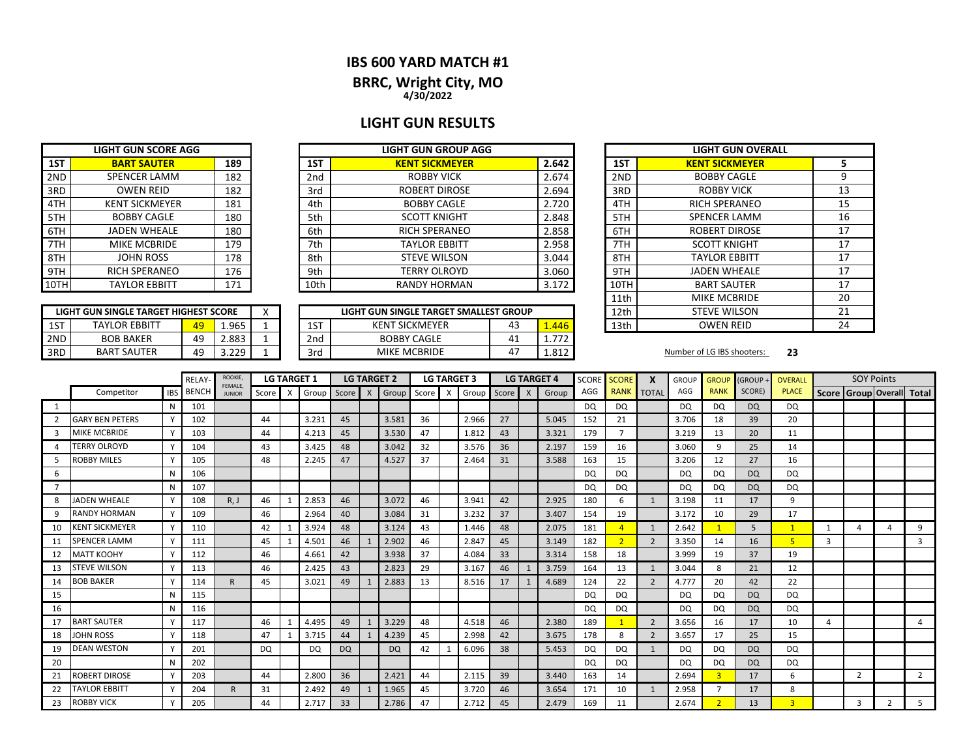### **IBS 600 YARD MATCH #1**

## **BRRC, Wright City, MO**

**4/30/2022**

## **LIGHT GUN RESULTS**

|       | <b>LIGHT GUN GROUP AGG</b> |                 | <b>LIGHT GUN SCORE AGG</b>   |      |
|-------|----------------------------|-----------------|------------------------------|------|
| 2.642 | <b>KENT SICKMEYER</b>      | 1ST             | <b>BART SAUTER</b><br>189    | 1ST  |
| 2.674 | <b>ROBBY VICK</b>          | 2 <sub>nd</sub> | <b>SPENCER LAMM</b><br>182   | 2ND  |
| 2.694 | <b>ROBERT DIROSE</b>       | 3rd             | <b>OWEN REID</b><br>182      | 3RD  |
| 2.720 | <b>BOBBY CAGLE</b>         | 4th             | <b>KENT SICKMEYER</b><br>181 | 4TH  |
| 2.848 | <b>SCOTT KNIGHT</b>        | 5th             | <b>BOBBY CAGLE</b><br>180    | 5TH  |
| 2.858 | <b>RICH SPERANEO</b>       | 6th             | <b>JADEN WHEALE</b><br>180   | 6TH  |
| 2.958 | <b>TAYLOR EBBITT</b>       | 7th             | <b>MIKE MCBRIDE</b><br>179   | 7TH  |
| 3.044 | <b>STEVE WILSON</b>        | 8th             | <b>JOHN ROSS</b><br>178      | 8TH  |
| 3.060 | <b>TERRY OLROYD</b>        | 9th             | <b>RICH SPERANEO</b><br>176  | 9TH  |
| 3.172 | <b>RANDY HORMAN</b>        | 10th            | <b>TAYLOR EBBITT</b><br>171  | 10TH |

|      | LIGHT GUN SINGLE TARGET HIGHEST SCORE |     |      | LIGHT GUN SINGLE TARGET SMALLEST GROUP |       | 12th |
|------|---------------------------------------|-----|------|----------------------------------------|-------|------|
|      |                                       |     |      |                                        |       | 11th |
| 10TH | <b>TAYLOR EBBITT</b>                  | 171 | 10th | RANDY HORMAN                           | 3.172 | 10TH |
| 9TH  | <b>RICH SPERANEO</b>                  | 176 | 9th  | <b>TERRY OLROYD</b>                    | 3.060 | 9TH  |
| 8TH  | <b>JOHN ROSS</b>                      | 178 | 8th  | <b>STEVE WILSON</b>                    | 3.044 | 8TH  |
| 7TH  | MIKE MCBRIDE                          | 179 | 7th  | <b>TAYLOR EBBITT</b>                   | 2.958 | 7TH  |
| 6TH  | JADEN WHEALE                          | 180 | 6th  | <b>RICH SPERANEO</b>                   | 2.858 | 6TH  |
| 5TH  | <b>BOBBY CAGLE</b>                    | 180 | 5th  | <b>SCOTT KNIGHT</b>                    | 2.848 | 5TH  |

|     | LIGHT GUN SINGLE TARGET HIGHEST SCORE |    |       | $\lambda$ |                 | LIGHT GUN SINGLE TARGET SMALLEST GROUP |    |       | 12th | <b>STEVE WILSON</b>        |    |
|-----|---------------------------------------|----|-------|-----------|-----------------|----------------------------------------|----|-------|------|----------------------------|----|
| 1ST | <b>TAYLOR EBBITT</b>                  |    | 1.965 |           | 1ST             | <b>KENT SICKMEYER</b>                  | 43 | 1.446 | 13th | <b>OWEN REID</b>           |    |
| 2ND | <b>BOB BAKER</b>                      | 49 | 2.883 |           | 2 <sub>nd</sub> | <b>BOBBY CAGLE</b>                     | 4⊥ | フフつ   |      |                            |    |
| 3RD | <b>BART SAUTER</b>                    | 49 | 3.229 |           | 3rd             | <b>MIKE MCBRIDE</b>                    |    | 1.812 |      | Number of LG IBS shooters: | 23 |

| <b>IT GUN GROUP AGG</b>           |    |       |      | <b>LIGHT GUN OVERALL</b> |    |
|-----------------------------------|----|-------|------|--------------------------|----|
| <b>ENT SICKMEYER</b>              |    | 2.642 | 1ST  | <b>KENT SICKMEYER</b>    | 5  |
| <b>ROBBY VICK</b>                 |    | 2.674 | 2ND  | <b>BOBBY CAGLE</b>       | 9  |
| ROBERT DIROSE                     |    | 2.694 | 3RD  | <b>ROBBY VICK</b>        | 13 |
| <b>BOBBY CAGLE</b>                |    | 2.720 | 4TH  | <b>RICH SPERANEO</b>     | 15 |
| <b>SCOTT KNIGHT</b>               |    | 2.848 | 5TH  | <b>SPENCER LAMM</b>      | 16 |
| RICH SPERANEO                     |    | 2.858 | 6TH  | <b>ROBERT DIROSE</b>     | 17 |
| TAYLOR EBBITT                     |    | 2.958 | 7TH  | <b>SCOTT KNIGHT</b>      | 17 |
| <b>STEVE WILSON</b>               |    | 3.044 | 8TH  | <b>TAYLOR EBBITT</b>     | 17 |
| TERRY OLROYD                      |    | 3.060 | 9TH  | <b>JADEN WHEALE</b>      | 17 |
| ANDY HORMAN                       |    | 3.172 | 10TH | <b>BART SAUTER</b>       | 17 |
|                                   |    |       | 11th | <b>MIKE MCBRIDE</b>      | 20 |
| <b>IGLE TARGET SMALLEST GROUP</b> |    |       | 12th | <b>STEVE WILSON</b>      | 21 |
| SICKMEYER                         | 43 | 1.446 | 13th | <b>OWEN REID</b>         | 24 |

|                |                        |              | RELAY-       | ROOKIE,<br>FEMALE. |              | <b>LG TARGET 1</b>        |           |           | <b>LG TARGET 2</b> |           |       | <b>LG TARGET 3</b> |             |    |              | <b>LG TARGET 4</b> | <b>SCORE</b> | <b>SCORE</b>   | X                        | <b>GROUP</b> | <b>GROUP</b>   | (GROUP +  | OVERALL        |                           | <b>SOY Points</b> |               |                |
|----------------|------------------------|--------------|--------------|--------------------|--------------|---------------------------|-----------|-----------|--------------------|-----------|-------|--------------------|-------------|----|--------------|--------------------|--------------|----------------|--------------------------|--------------|----------------|-----------|----------------|---------------------------|-------------------|---------------|----------------|
|                | Competitor             | <b>IBS</b>   | <b>BENCH</b> | <b>JUNIOR</b>      | <b>Score</b> | $\boldsymbol{\mathsf{x}}$ | Group     | Score     | $\mathsf{X}$       | Group     | Score | X                  | Group Score |    | $\mathsf{X}$ | Group              | AGG          | <b>RANK</b>    | <b>TOTAL</b>             | AGG          | <b>RANK</b>    | SCORE)    | <b>PLACE</b>   | Score Group Overall Total |                   |               |                |
|                |                        | N            | 101          |                    |              |                           |           |           |                    |           |       |                    |             |    |              |                    | <b>DQ</b>    | DQ             |                          | <b>DQ</b>    | DQ             | <b>DQ</b> | DQ             |                           |                   |               |                |
| $\mathcal{P}$  | <b>GARY BEN PETERS</b> | Y            | 102          |                    | 44           |                           | 3.231     | 45        |                    | 3.581     | 36    |                    | 2.966       | 27 |              | 5.045              | 152          | 21             |                          | 3.706        | 18             | 39        | 20             |                           |                   |               |                |
| 3              | <b>MIKE MCBRIDE</b>    |              | 103          |                    | 44           |                           | 4.213     | 45        |                    | 3.530     | 47    |                    | 1.812       | 43 |              | 3.321              | 179          | $\overline{7}$ |                          | 3.219        | 13             | 20        | 11             |                           |                   |               |                |
|                | <b>TERRY OLROYD</b>    |              | 104          |                    | 43           |                           | 3.425     | 48        |                    | 3.042     | 32    |                    | 3.576       | 36 |              | 2.197              | 159          | 16             |                          | 3.060        | 9              | 25        | 14             |                           |                   |               |                |
|                | <b>ROBBY MILES</b>     |              | 105          |                    | 48           |                           | 2.245     | 47        |                    | 4.527     | 37    |                    | 2.464       | 31 |              | 3.588              | 163          | 15             |                          | 3.206        | 12             | 27        | 16             |                           |                   |               |                |
| 6              |                        | N            | 106          |                    |              |                           |           |           |                    |           |       |                    |             |    |              |                    | <b>DQ</b>    | DQ             |                          | DQ.          | DQ             | <b>DQ</b> | DQ             |                           |                   |               |                |
| $\overline{ }$ |                        | N            | 107          |                    |              |                           |           |           |                    |           |       |                    |             |    |              |                    | DQ           | DQ             |                          | <b>DQ</b>    | DQ             | <b>DQ</b> | DQ             |                           |                   |               |                |
| 8              | <b>JADEN WHEALE</b>    | $\mathsf{v}$ | 108          | R, J               | 46           |                           | 2.853     | 46        |                    | 3.072     | 46    |                    | 3.941       | 42 |              | 2.925              | 180          | 6              | $\mathbf{1}$             | 3.198        | 11             | 17        | 9              |                           |                   |               |                |
| 9              | <b>RANDY HORMAN</b>    | Y            | 109          |                    | 46           |                           | 2.964     | 40        |                    | 3.084     | 31    |                    | 3.232       | 37 |              | 3.407              | 154          | 19             |                          | 3.172        | 10             | 29        | 17             |                           |                   |               |                |
| 10             | <b>KENT SICKMEYER</b>  | Y            | 110          |                    | 42           |                           | 3.924     | 48        |                    | 3.124     | 43    |                    | 1.446       | 48 |              | 2.075              | 181          |                | 1                        | 2.642        |                | 5         | $\overline{1}$ |                           | $\overline{a}$    |               | 9              |
| 11             | <b>SPENCER LAMM</b>    | $\mathsf{v}$ | 111          |                    | 45           |                           | 4.501     | 46        |                    | 2.902     | 46    |                    | 2.847       | 45 |              | 3.149              | 182          | $\overline{2}$ | $\overline{2}$           | 3.350        | 14             | 16        | 5 <sup>1</sup> | $\mathbf{3}$              |                   |               | $\mathbf{3}$   |
| 12             | <b>MATT KOOHY</b>      | Y            | 112          |                    | 46           |                           | 4.661     | 42        |                    | 3.938     | 37    |                    | 4.084       | 33 |              | 3.314              | 158          | 18             |                          | 3.999        | 19             | 37        | 19             |                           |                   |               |                |
| 13             | <b>STEVE WILSON</b>    | Y            | 113          |                    | 46           |                           | 2.425     | 43        |                    | 2.823     | 29    |                    | 3.167       | 46 |              | 3.759              | 164          | 13             |                          | 3.044        | 8              | 21        | 12             |                           |                   |               |                |
| 14             | <b>BOB BAKER</b>       |              | 114          | R                  | 45           |                           | 3.021     | 49        |                    | 2.883     | 13    |                    | 8.516       | 17 |              | 4.689              | 124          | 22             | $\overline{2}$           | 4.777        | 20             | 42        | 22             |                           |                   |               |                |
| 15             |                        | N            | 115          |                    |              |                           |           |           |                    |           |       |                    |             |    |              |                    | DQ.          | DQ             |                          | DQ.          | DQ             | <b>DQ</b> | DQ             |                           |                   |               |                |
| 16             |                        | N            | 116          |                    |              |                           |           |           |                    |           |       |                    |             |    |              |                    | DQ           | DQ             |                          | <b>DQ</b>    | <b>DQ</b>      | <b>DQ</b> | DQ             |                           |                   |               |                |
| 17             | <b>BART SAUTER</b>     |              | 117          |                    | 46           |                           | 4.495     | 49        |                    | 3.229     | 48    |                    | 4.518       | 46 |              | 2.380              | 189          |                | $\overline{2}$           | 3.656        | 16             | 17        | 10             | 4                         |                   |               | $\overline{4}$ |
| 18             | <b>JOHN ROSS</b>       |              | 118          |                    | 47           |                           | 3.715     | 44        |                    | 4.239     | 45    |                    | 2.998       | 42 |              | 3.675              | 178          | 8              | $\overline{\phantom{0}}$ | 3.657        | 17             | 25        | 15             |                           |                   |               |                |
| 19             | <b>DEAN WESTON</b>     |              | 201          |                    | DQ           |                           | <b>DQ</b> | <b>DQ</b> |                    | <b>DQ</b> | 42    |                    | 6.096       | 38 |              | 5.453              | DQ           | <b>DQ</b>      |                          | DQ           | DQ             | <b>DQ</b> | DQ             |                           |                   |               |                |
| 20             |                        | N            | 202          |                    |              |                           |           |           |                    |           |       |                    |             |    |              |                    | <b>DQ</b>    | <b>DQ</b>      |                          | <b>DQ</b>    | <b>DQ</b>      | <b>DQ</b> | DQ             |                           |                   |               |                |
| 21             | <b>ROBERT DIROSE</b>   | $\mathbf v$  | 203          |                    | 44           |                           | 2.800     | 36        |                    | 2.421     | 44    |                    | 2.115       | 39 |              | 3.440              | 163          | 14             |                          | 2.694        | 3              | 17        | 6              |                           | $\overline{2}$    |               | $\overline{2}$ |
| 22             | <b>TAYLOR EBBITT</b>   | $\checkmark$ | 204          |                    | 31           |                           | 2.492     | 49        |                    | 1.965     | 45    |                    | 3.720       | 46 |              | 3.654              | 171          | 10             | 1                        | 2.958        |                | 17        | 8              |                           |                   |               |                |
| 23             | <b>ROBBY VICK</b>      | $\checkmark$ | 205          |                    | 44           |                           | 2.717     | 33        |                    | 2.786     | 47    |                    | 2.712       | 45 |              | 2.479              | 169          | 11             |                          | 2.674        | $\overline{2}$ | 13        | $\overline{3}$ |                           | 3                 | $\mathcal{P}$ | 5              |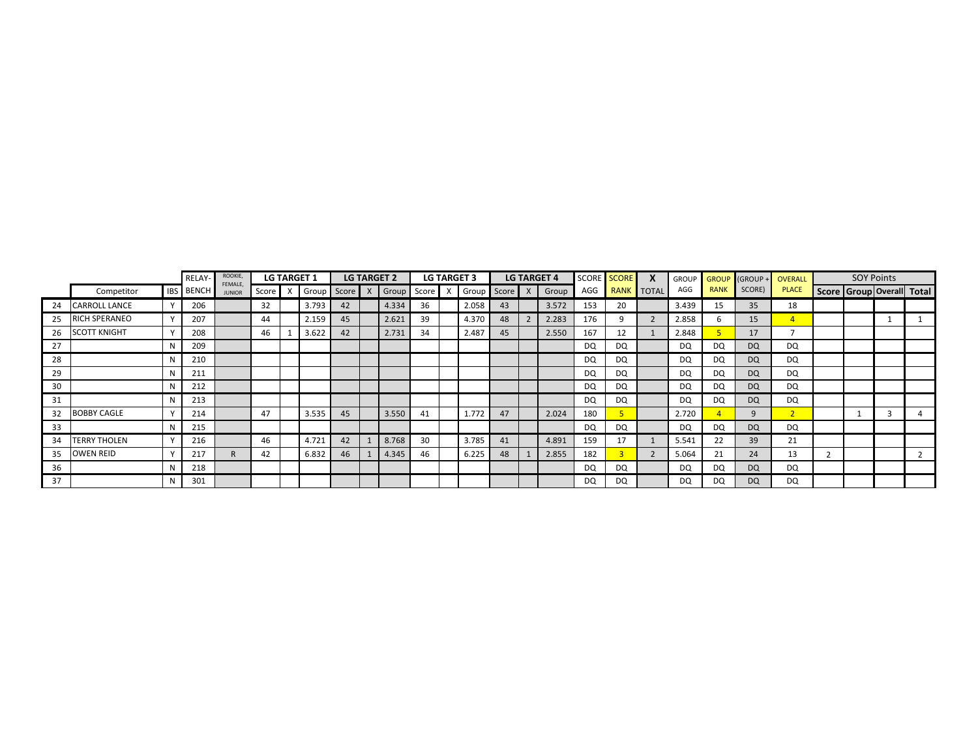|    |                      |             | RELAY-           | ROOKIE,<br>FEMALE, |       | <b>LG TARGET 1</b> |    |                     | <b>LG TARGET 2</b> |       | <b>LG TARGET 3</b> |    | <b>LG TARGET 4</b> |           | SCORE SCORE |                | <b>GROUP</b> |             | GROUP GROUP + OVERALL |                |                                 | <b>SOY Points</b> |  |
|----|----------------------|-------------|------------------|--------------------|-------|--------------------|----|---------------------|--------------------|-------|--------------------|----|--------------------|-----------|-------------|----------------|--------------|-------------|-----------------------|----------------|---------------------------------|-------------------|--|
|    | Competitor           |             | <b>IBS</b> BENCH | <b>JUNIOR</b>      | Score | Group Score        |    | $\mathsf{I} \times$ | Group              | Score | X Group Score X    |    | Group              | AGG       |             | RANK TOTAL     | AGG          | <b>RANK</b> | SCORE)                | <b>PLACE</b>   | Score   Group   Overall   Total |                   |  |
| 24 | <b>CARROLL LANCE</b> |             | 206              |                    | 32    | 3.793              | 42 |                     | 4.334              | 36    | 2.058              | 43 | 3.572              | 153       | 20          |                | 3.439        | 15          | 35                    | 18             |                                 |                   |  |
| 25 | <b>RICH SPERANEO</b> |             | 207              |                    | 44    | 2.159              | 45 |                     | 2.621              | 39    | 4.370              | 48 | 2.283              | 176       |             | $\overline{2}$ | 2.858        |             | 15                    | $\mathbf{4}$   |                                 |                   |  |
| 26 | <b>SCOTT KNIGHT</b>  |             | 208              |                    | 46    | 3.622              | 42 |                     | 2.731              | 34    | 2.487              | 45 | 2.550              | 167       | 12          |                | 2.848        |             | 17                    |                |                                 |                   |  |
| 27 |                      | N           | 209              |                    |       |                    |    |                     |                    |       |                    |    |                    | DQ        | DQ          |                | DQ           | DQ          | <b>DQ</b>             | DQ             |                                 |                   |  |
| 28 |                      | N           | 210              |                    |       |                    |    |                     |                    |       |                    |    |                    | DQ        | DQ          |                | DQ           | DQ          | DQ                    | DQ             |                                 |                   |  |
| 29 |                      | N           | 211              |                    |       |                    |    |                     |                    |       |                    |    |                    | DQ        | DQ          |                | DQ           | DQ          | DQ                    | DQ             |                                 |                   |  |
| 30 |                      | N           | 212              |                    |       |                    |    |                     |                    |       |                    |    |                    | DQ        | DQ          |                | DQ           | DQ          | DQ                    | DQ             |                                 |                   |  |
| 31 |                      | N           | 213              |                    |       |                    |    |                     |                    |       |                    |    |                    | <b>DQ</b> | DQ          |                | DQ           | DQ          | <b>DQ</b>             | DQ             |                                 |                   |  |
| 32 | <b>BOBBY CAGLE</b>   |             | 214              |                    | 47    | 3.535              | 45 |                     | 3.550              | 41    | 1.772              | 47 | 2.024              | 180       |             |                | 2.720        |             | 9                     | $\overline{2}$ |                                 |                   |  |
| 33 |                      | N           | 215              |                    |       |                    |    |                     |                    |       |                    |    |                    | DQ        | DQ          |                | DQ           | DQ          | DQ                    | DQ             |                                 |                   |  |
| 34 | <b>TERRY THOLEN</b>  | $\mathbf v$ | 216              |                    | 46    | 4.721              | 42 |                     | 8.768              | 30    | 3.785              | 41 | 4.891              | 159       | 17          |                | 5.541        | 22          | 39                    | 21             |                                 |                   |  |
| 35 | <b>OWEN REID</b>     |             | 217              |                    | 42    | 6.832              | 46 |                     | 4.345              | 46    | 6.225              | 48 | 2.855              | 182       |             | $\overline{2}$ | 5.064        | 21          | 24                    | 13             |                                 |                   |  |
| 36 |                      | N           | 218              |                    |       |                    |    |                     |                    |       |                    |    |                    | DQ        | DQ          |                | DQ           | DQ          | DQ                    | DQ             |                                 |                   |  |
| 37 |                      | N           | 301              |                    |       |                    |    |                     |                    |       |                    |    |                    | DQ        | DQ          |                | DQ           | DQ          | <b>DQ</b>             | DQ.            |                                 |                   |  |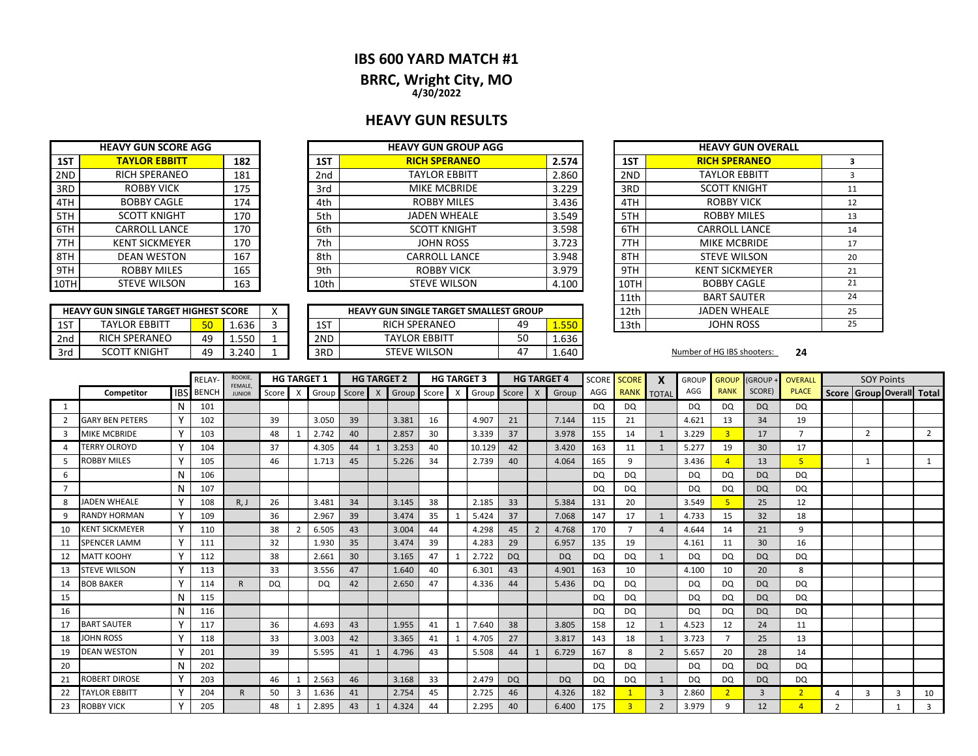### **IBS 600 YARD MATCH #1**

**BRRC, Wright City, MO 4/30/2022**

### **HEAVY GUN RESULTS**

|      | <b>HEAVY GUN SCORE AGG</b> |     |                 | <b>HEAVY GUN GROUP AGG</b> |       |
|------|----------------------------|-----|-----------------|----------------------------|-------|
| 1ST  | <b>TAYLOR EBBITT</b>       | 182 | 1ST             | <b>RICH SPERANEO</b>       | 2.574 |
| 2ND  | <b>RICH SPERANEO</b>       | 181 | 2 <sub>nd</sub> | <b>TAYLOR EBBITT</b>       | 2.860 |
| 3RD  | <b>ROBBY VICK</b>          | 175 | 3rd             | <b>MIKE MCBRIDE</b>        | 3.229 |
| 4TH  | <b>BOBBY CAGLE</b>         | 174 | 4th             | <b>ROBBY MILES</b>         | 3.436 |
| 5TH  | <b>SCOTT KNIGHT</b>        | 170 | 5th             | <b>JADEN WHEALE</b>        | 3.549 |
| 6TH  | <b>CARROLL LANCE</b>       | 170 | 6th             | <b>SCOTT KNIGHT</b>        | 3.598 |
| 7TH  | <b>KENT SICKMEYER</b>      | 170 | 7th             | <b>JOHN ROSS</b>           | 3.723 |
| 8TH  | <b>DEAN WESTON</b>         | 167 | 8th             | <b>CARROLL LANCE</b>       | 3.948 |
| 9TH  | <b>ROBBY MILES</b>         | 165 | 9th             | <b>ROBBY VICK</b>          | 3.979 |
| 10TH | <b>STEVE WILSON</b>        | 163 | 10th            | <b>STEVE WILSON</b>        | 4.100 |

|     | <b>HEAVY GUN SINGLE TARGET HIGHEST SCORE</b> |    |       |  |  |  |  |  |  |  |  |  |  |  |
|-----|----------------------------------------------|----|-------|--|--|--|--|--|--|--|--|--|--|--|
| 1ST | TAYI OR FRRITT                               |    | 1.636 |  |  |  |  |  |  |  |  |  |  |  |
| 2nd | <b>RICH SPERANEO</b>                         | 49 | 1.550 |  |  |  |  |  |  |  |  |  |  |  |
| 3rd | <b>SCOTT KNIGHT</b>                          | 49 | 3.240 |  |  |  |  |  |  |  |  |  |  |  |

|     |                                              |                 |       |     |                                               |           |       | . <b>.</b> |                            |    |
|-----|----------------------------------------------|-----------------|-------|-----|-----------------------------------------------|-----------|-------|------------|----------------------------|----|
|     | <b>HEAVY GUN SINGLE TARGET HIGHEST SCORE</b> |                 |       |     | <b>HEAVY GUN SINGLE TARGET SMALLEST GROUP</b> |           |       | 12th       | <b>JADEN WHEALE</b>        |    |
| 1ST | <b>TAYLOR EBBITT</b>                         | 50 <sub>1</sub> | 1.636 | 1ST | <b>RICH SPERANEO</b>                          | 49        | 1.550 | 13th       | <b>JOHN ROSS</b>           |    |
| 2nd | <b>RICH SPERANEO</b>                         | 49              | 1.550 | 2ND | <b>TAYLOR EBBITT</b>                          | r o<br>υc | 1.636 |            |                            |    |
| 3rd | <b>SCOTT KNIGHT</b>                          | 49              | 3.240 | 3RD | <b>STEVE WILSON</b>                           |           | 1.640 |            | Number of HG IBS shooters: | 24 |

| <b>HEAVY GUN GROUP AGG</b>       |       |       |      |                      | <b>HEAVY GUN OVERALL</b> |    |
|----------------------------------|-------|-------|------|----------------------|--------------------------|----|
| <b>RICH SPERANEO</b>             | 2.574 |       | 1ST  | <b>RICH SPERANEO</b> | 3                        |    |
| <b>TAYLOR EBBITT</b>             | 2.860 |       | 2ND  | <b>TAYLOR EBBITT</b> | 3                        |    |
| MIKE MCBRIDE                     | 3.229 |       | 3RD  | <b>SCOTT KNIGHT</b>  | 11                       |    |
| <b>ROBBY MILES</b>               |       |       |      | 4TH                  | <b>ROBBY VICK</b>        | 12 |
| <b>JADEN WHEALE</b>              | 3.549 |       | 5TH  | <b>ROBBY MILES</b>   | 13                       |    |
| <b>SCOTT KNIGHT</b>              |       | 3.598 |      | 6TH                  | <b>CARROLL LANCE</b>     | 14 |
| <b>JOHN ROSS</b>                 |       | 3.723 |      | 7TH                  | <b>MIKE MCBRIDE</b>      | 17 |
| <b>CARROLL LANCE</b>             |       | 3.948 |      | 8TH                  | <b>STEVE WILSON</b>      | 20 |
| <b>ROBBY VICK</b>                |       | 3.979 |      | 9TH                  | <b>KENT SICKMEYER</b>    | 21 |
| <b>STEVE WILSON</b>              |       | 4.100 |      | 10TH                 | <b>BOBBY CAGLE</b>       | 21 |
|                                  |       |       | 11th | <b>BART SAUTER</b>   | 24                       |    |
| IUN SINGLE TARGET SMALLEST GROUP |       |       |      | 12 <sub>th</sub>     | <b>JADEN WHEALE</b>      | 25 |
| RICH SPERANEO                    | 1.550 |       | 13th | <b>JOHN ROSS</b>     | 25                       |    |
|                                  |       |       |      |                      |                          |    |

|    |                        |            | RELAY        | <b>ROOKIE</b><br>FEMALE. |           | <b>HG TARGET 1</b> |           |       |              | <b>HG TARGET 2</b> |         |   | <b>HG TARGET 3</b> |           |              | <b>HG TARGET 4</b> | <b>SCORE</b> | <b>SCORE</b> | X                              | <b>GROUP</b> | <b>GROUP</b>   | <b>(GROUP</b> | OVERALL        |               | <b>SOY Points</b> |                           |                |
|----|------------------------|------------|--------------|--------------------------|-----------|--------------------|-----------|-------|--------------|--------------------|---------|---|--------------------|-----------|--------------|--------------------|--------------|--------------|--------------------------------|--------------|----------------|---------------|----------------|---------------|-------------------|---------------------------|----------------|
|    | Competitor             | <b>IBS</b> | <b>BENCH</b> | <b>JUNIOR</b>            | Score     | X                  | Group     | Score | $\mathsf{X}$ | Group              | Score I | X | Group              | Score     | $\mathsf{X}$ | Group              | AGG          | <b>RANK</b>  | $\overline{\phantom{a}}$ TOTAL | AGG          | <b>RANK</b>    | SCORE)        | <b>PLACE</b>   |               |                   | Score Group Overall Total |                |
| 1  |                        | N          | 101          |                          |           |                    |           |       |              |                    |         |   |                    |           |              |                    | DQ           | DQ           |                                | <b>DQ</b>    | DQ             | <b>DQ</b>     | DQ             |               |                   |                           |                |
| 2  | <b>GARY BEN PETERS</b> | Υ          | 102          |                          | 39        |                    | 3.050     | 39    |              | 3.381              | 16      |   | 4.907              | 21        |              | 7.144              | 115          | 21           |                                | 4.621        | 13             | 34            | 19             |               |                   |                           |                |
| 3  | <b>MIKE MCBRIDE</b>    | Y          | 103          |                          | 48        |                    | 2.742     | 40    |              | 2.857              | 30      |   | 3.339              | 37        |              | 3.978              | 155          | 14           | $\mathbf{1}$                   | 3.229        | $\overline{3}$ | 17            | $\overline{ }$ |               | $\overline{2}$    |                           | $\overline{2}$ |
| Δ  | <b>TERRY OLROYD</b>    | Y          | 104          |                          | 37        |                    | 4.305     | 44    |              | 3.253              | 40      |   | 10.129             | 42        |              | 3.420              | 163          | 11           | -1                             | 5.277        | 19             | 30            | 17             |               |                   |                           |                |
| 5  | ROBBY MILES            | Υ          | 105          |                          | 46        |                    | 1.713     | 45    |              | 5.226              | 34      |   | 2.739              | 40        |              | 4.064              | 165          | 9            |                                | 3.436        |                | 13            | 5 <sup>1</sup> |               | 1                 |                           |                |
| 6  |                        | N          | 106          |                          |           |                    |           |       |              |                    |         |   |                    |           |              |                    | DQ           | DQ           |                                | DQ           | DQ             | DQ            | DQ             |               |                   |                           |                |
|    |                        | N          | 107          |                          |           |                    |           |       |              |                    |         |   |                    |           |              |                    | <b>DQ</b>    | DQ.          |                                | <b>DQ</b>    | DQ             | <b>DQ</b>     | DQ.            |               |                   |                           |                |
| 8  | <b>JADEN WHEALE</b>    |            | 108          | R, J                     | 26        |                    | 3.481     | 34    |              | 3.145              | 38      |   | 2.185              | 33        |              | 5.384              | 131          | 20           |                                | 3.549        |                | 25            | 12             |               |                   |                           |                |
| 9  | RANDY HORMAN           |            | 109          |                          | 36        |                    | 2.967     | 39    |              | 3.474              | 35      |   | 5.424              | 37        |              | 7.068              | 147          | 17           |                                | 4.733        | 15             | 32            | 18             |               |                   |                           |                |
| 10 | <b>KENT SICKMEYER</b>  | Υ          | 110          |                          | 38        |                    | 6.505     | 43    |              | 3.004              | 44      |   | 4.298              | 45        |              | 4.768              | 170          |              | $\overline{a}$                 | 4.644        | 14             | 21            | 9              |               |                   |                           |                |
| 11 | SPENCER LAMM           |            | 111          |                          | 32        |                    | 1.930     | 35    |              | 3.474              | 39      |   | 4.283              | 29        |              | 6.957              | 135          | 19           |                                | 4.161        | 11             | 30            | 16             |               |                   |                           |                |
| 12 | <b>MATT KOOHY</b>      |            | 112          |                          | 38        |                    | 2.661     | 30    |              | 3.165              | 47      |   | 2.722              | <b>DQ</b> |              | <b>DQ</b>          | DQ           | <b>DQ</b>    | $\mathbf{1}$                   | <b>DQ</b>    | DQ             | <b>DQ</b>     | DQ             |               |                   |                           |                |
| 13 | <b>STEVE WILSON</b>    | ٧          | 113          |                          | 33        |                    | 3.556     | 47    |              | 1.640              | 40      |   | 6.301              | 43        |              | 4.901              | 163          | 10           |                                | 4.100        | 10             | 20            | 8              |               |                   |                           |                |
| 14 | <b>BOB BAKER</b>       |            | 114          | R                        | <b>DQ</b> |                    | <b>DQ</b> | 42    |              | 2.650              | 47      |   | 4.336              | 44        |              | 5.436              | DQ           | DQ           |                                | <b>DQ</b>    | DQ             | <b>DQ</b>     | DQ             |               |                   |                           |                |
| 15 |                        | N          | 115          |                          |           |                    |           |       |              |                    |         |   |                    |           |              |                    | DQ           | DQ           |                                | <b>DQ</b>    | DQ             | <b>DQ</b>     | DQ.            |               |                   |                           |                |
| 16 |                        | N          | 116          |                          |           |                    |           |       |              |                    |         |   |                    |           |              |                    | DQ           | DQ           |                                | <b>DQ</b>    | DQ             | <b>DQ</b>     | DQ             |               |                   |                           |                |
| 17 | <b>BART SAUTER</b>     |            | 117          |                          | 36        |                    | 4.693     | 43    |              | 1.955              | 41      |   | 7.640              | 38        |              | 3.805              | 158          | 12           |                                | 4.523        | 12             | 24            | 11             |               |                   |                           |                |
| 18 | JOHN ROSS              |            | 118          |                          | 33        |                    | 3.003     | 42    |              | 3.365              | 41      |   | 4.705              | 27        |              | 3.817              | 143          | 18           |                                | 3.723        |                | 25            | 13             |               |                   |                           |                |
| 19 | <b>DEAN WESTON</b>     | ۷          | 201          |                          | 39        |                    | 5.595     | 41    |              | 4.796              | 43      |   | 5.508              | 44        |              | 6.729              | 167          | 8            | $\overline{2}$                 | 5.657        | 20             | 28            | 14             |               |                   |                           |                |
| 20 |                        | N          | 202          |                          |           |                    |           |       |              |                    |         |   |                    |           |              |                    | DQ           | DQ           |                                | <b>DQ</b>    | DQ             | <b>DQ</b>     | DQ             |               |                   |                           |                |
| 21 | ROBERT DIROSE          |            | 203          |                          | 46        |                    | 2.563     | 46    |              | 3.168              | 33      |   | 2.479              | <b>DQ</b> |              | <b>DQ</b>          | DQ           | DQ           |                                | <b>DQ</b>    | DQ             | <b>DQ</b>     | DQ             |               |                   |                           |                |
| 22 | <b>TAYLOR EBBITT</b>   |            | 204          | R.                       | 50        | -3                 | 1.636     | 41    |              | 2.754              | 45      |   | 2.725              | 46        |              | 4.326              | 182          |              | $\overline{3}$                 | 2.860        | $\overline{2}$ | 3             | $2^{\circ}$    |               | 3                 | 3                         | 10             |
| 23 | ROBBY VICK             |            | 205          |                          | 48        |                    | 2.895     | 43    |              | 4.324              | 44      |   | 2.295              | 40        |              | 6.400              | 175          |              | $\mathcal{P}$                  | 3.979        | q              | 12            |                | $\mathcal{L}$ |                   |                           | 3              |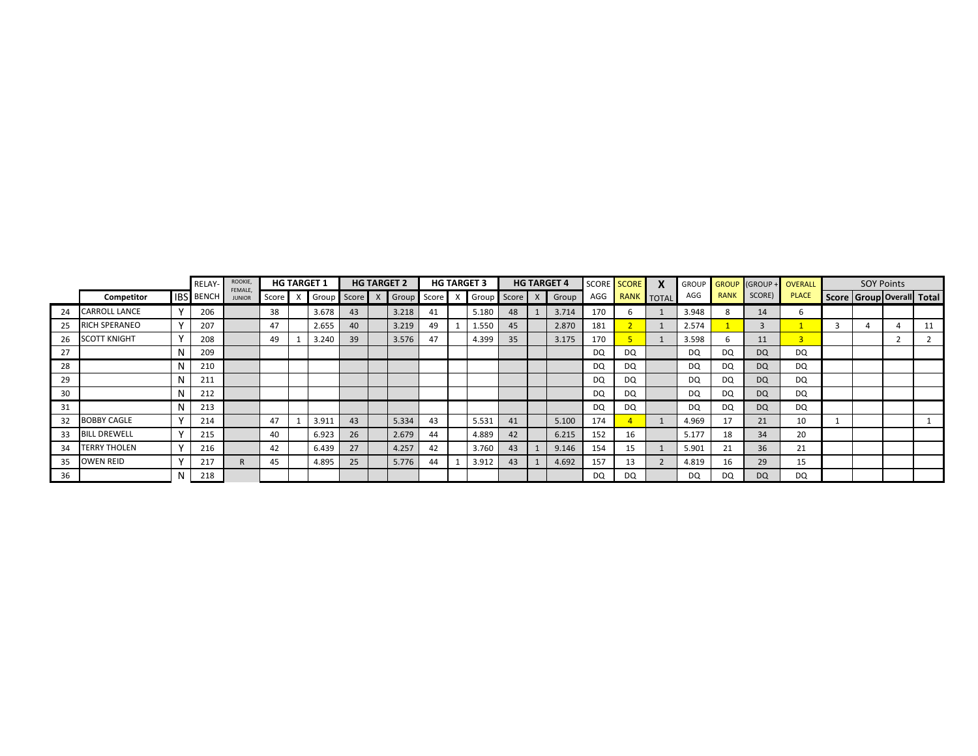|    |                     |             | <b>RELAY-</b>    | ROOKIE,<br>FEMALE, |       | <b>HG TARGET 1</b> |    | <b>HG TARGET 2</b> |       | <b>HG TARGET 3</b> |    | <b>HG TARGET 4</b> |           | SCORE SCORE |           |             |        | GROUP GROUP (GROUP + OVERALL | <b>SOY Points</b>         |  |
|----|---------------------|-------------|------------------|--------------------|-------|--------------------|----|--------------------|-------|--------------------|----|--------------------|-----------|-------------|-----------|-------------|--------|------------------------------|---------------------------|--|
|    | Competitor          |             | <b>IBS</b> BENCH | <b>JUNIOR</b>      | Score | Group Score        |    | Group              | Score | Group Score X      |    | Group              | AGG       | RANK TOTAL  | AGG       | <b>RANK</b> | SCORE) | <b>PLACE</b>                 | Score Group Overall Total |  |
| 24 | CARROLL LANCE       |             | 206              |                    | 38    | 3.678              | 43 | 3.218              | 41    | 5.180              | 48 | 3.714              | 170       | b           | 3.948     | 8           | 14     | b                            |                           |  |
| 25 | RICH SPERANEO       | $\mathbf v$ | 207              |                    | 47    | 2.655              | 40 | 3.219              | 49    | 1.550              | 45 | 2.870              | 181       |             | 2.574     |             |        |                              |                           |  |
| 26 | <b>SCOTT KNIGHT</b> |             | 208              |                    | 49    | 3.240              | 39 | 3.576              | 47    | 4.399              | 35 | 3.175              | 170       |             | 3.598     |             | 11     | 3 <sup>1</sup>               |                           |  |
| 27 |                     |             | 209              |                    |       |                    |    |                    |       |                    |    |                    | DQ        | DQ          | DQ        | DQ          | DQ     | DQ                           |                           |  |
| 28 |                     |             | 210              |                    |       |                    |    |                    |       |                    |    |                    | DQ.       | DQ          | DQ        | DQ          | DQ     | DQ                           |                           |  |
| 29 |                     | N           | 211              |                    |       |                    |    |                    |       |                    |    |                    | <b>DQ</b> | DQ          | <b>DQ</b> | DQ          | DQ     | DQ                           |                           |  |
| 30 |                     | N           | 212              |                    |       |                    |    |                    |       |                    |    |                    | DQ        | DQ          | DQ        | DQ          | DQ     | DQ                           |                           |  |
| 31 |                     | N           | 213              |                    |       |                    |    |                    |       |                    |    |                    | DQ        | DQ          | DQ.       | DQ          | DQ     | DQ                           |                           |  |
| 32 | <b>BOBBY CAGLE</b>  |             | 214              |                    | 47    | 3.911              | 43 | 5.334              | 43    | 5.531              | 41 | 5.100              | 174       |             | 4.969     | 17          | 21     | 10                           |                           |  |
| 33 | <b>BILL DREWELL</b> |             | 215              |                    | 40    | 6.923              | 26 | 2.679              | 44    | 4.889              | 42 | 6.215              | 152       | 16          | 5.177     | 18          | 34     | 20                           |                           |  |
| 34 | <b>TERRY THOLEN</b> |             | 216              |                    | 42    | 6.439              | 27 | 4.257              | 42    | 3.760              | 43 | 9.146              | 154       | 15          | 5.901     | 21          | 36     | 21                           |                           |  |
| 35 | <b>OWEN REID</b>    |             | 217              |                    | 45    | 4.895              | 25 | 5.776              | 44    | 3.912              | 43 | 4.692              | 157       | 13          | 4.819     | 16          | 29     | 15                           |                           |  |
| 36 |                     |             | 218              |                    |       |                    |    |                    |       |                    |    |                    | DQ.       | DQ          | <b>DQ</b> | DQ          | DQ     | <b>DQ</b>                    |                           |  |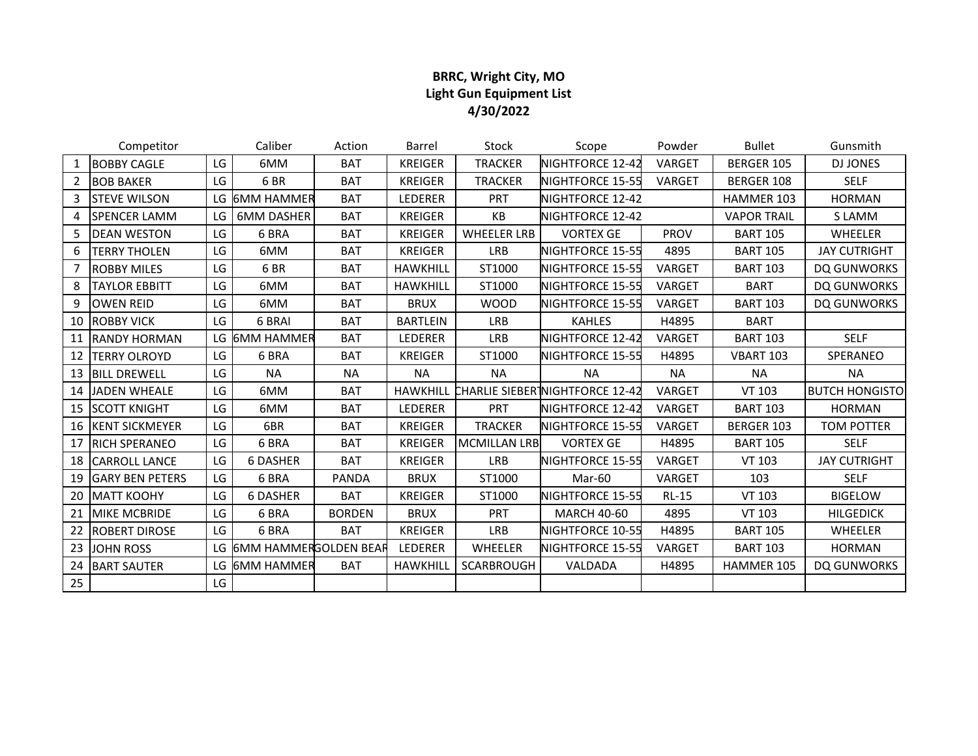## **BRRC, Wright City, MO Light Gun Equipment List 4/30/2022**

|                | Competitor             |     | Caliber                  | Action        | Barrel          | Stock               | Scope                                   | Powder      | <b>Bullet</b>      | Gunsmith              |
|----------------|------------------------|-----|--------------------------|---------------|-----------------|---------------------|-----------------------------------------|-------------|--------------------|-----------------------|
| 1              | <b>BOBBY CAGLE</b>     | LG  | 6MM                      | <b>BAT</b>    | <b>KREIGER</b>  | <b>TRACKER</b>      | NIGHTFORCE 12-42                        | VARGET      | BERGER 105         | <b>DJ JONES</b>       |
| $\overline{2}$ | <b>BOB BAKER</b>       | LG  | 6BR                      | <b>BAT</b>    | <b>KREIGER</b>  | <b>TRACKER</b>      | NIGHTFORCE 15-55                        | VARGET      | BERGER 108         | <b>SELF</b>           |
| 3              | <b>STEVE WILSON</b>    |     | LG 6MM HAMMER            | <b>BAT</b>    | LEDERER         | PRT                 | NIGHTFORCE 12-42                        |             | HAMMER 103         | <b>HORMAN</b>         |
| 4              | <b>SPENCER LAMM</b>    | LG  | <b>6MM DASHER</b>        | <b>BAT</b>    | <b>KREIGER</b>  | KB                  | NIGHTFORCE 12-42                        |             | <b>VAPOR TRAIL</b> | S LAMM                |
| 5              | <b>DEAN WESTON</b>     | LG. | 6 BRA                    | <b>BAT</b>    | <b>KREIGER</b>  | <b>WHEELER LRB</b>  | <b>VORTEX GE</b>                        | <b>PROV</b> | <b>BART 105</b>    | <b>WHEELER</b>        |
| 6              | <b>TERRY THOLEN</b>    | LG  | 6MM                      | <b>BAT</b>    | <b>KREIGER</b>  | <b>LRB</b>          | NIGHTFORCE 15-55                        | 4895        | <b>BART 105</b>    | <b>JAY CUTRIGHT</b>   |
|                | <b>ROBBY MILES</b>     | LG  | 6BR                      | <b>BAT</b>    | <b>HAWKHILL</b> | ST1000              | NIGHTFORCE 15-55                        | VARGET      | <b>BART 103</b>    | DQ GUNWORKS           |
| 8              | <b>TAYLOR EBBITT</b>   | LG  | 6MM                      | <b>BAT</b>    | <b>HAWKHILL</b> | ST1000              | NIGHTFORCE 15-55                        | VARGET      | <b>BART</b>        | DQ GUNWORKS           |
| 9              | <b>OWEN REID</b>       | LG. | 6MM                      | <b>BAT</b>    | <b>BRUX</b>     | <b>WOOD</b>         | NIGHTFORCE 15-55                        | VARGET      | <b>BART 103</b>    | DQ GUNWORKS           |
| 10             | <b>ROBBY VICK</b>      | LG. | 6 BRAI                   | <b>BAT</b>    | <b>BARTLEIN</b> | <b>LRB</b>          | <b>KAHLES</b>                           | H4895       | <b>BART</b>        |                       |
| 11             | <b>RANDY HORMAN</b>    | LG  | <b>6MM HAMMER</b>        | <b>BAT</b>    | LEDERER         | <b>LRB</b>          | NIGHTFORCE 12-42                        | VARGET      | <b>BART 103</b>    | <b>SELF</b>           |
| 12             | <b>TERRY OLROYD</b>    | LG  | 6 BRA                    | <b>BAT</b>    | <b>KREIGER</b>  | ST1000              | NIGHTFORCE 15-55                        | H4895       | <b>VBART 103</b>   | SPERANEO              |
| 13             | <b>BILL DREWELL</b>    | LG. | <b>NA</b>                | <b>NA</b>     | <b>NA</b>       | <b>NA</b>           | <b>NA</b>                               | <b>NA</b>   | <b>NA</b>          | <b>NA</b>             |
| 14             | <b>JADEN WHEALE</b>    | LG  | 6MM                      | <b>BAT</b>    | <b>HAWKHILL</b> |                     | <b>CHARLIE SIEBER INIGHTFORCE 12-42</b> | VARGET      | VT 103             | <b>BUTCH HONGISTO</b> |
| 15             | <b>SCOTT KNIGHT</b>    | LG  | 6MM                      | <b>BAT</b>    | LEDERER         | PRT                 | NIGHTFORCE 12-42                        | VARGET      | <b>BART 103</b>    | <b>HORMAN</b>         |
| 16             | <b>KENT SICKMEYER</b>  | LG  | 6BR                      | <b>BAT</b>    | <b>KREIGER</b>  | <b>TRACKER</b>      | NIGHTFORCE 15-55                        | VARGET      | BERGER 103         | <b>TOM POTTER</b>     |
| 17             | <b>RICH SPERANEO</b>   | LG. | 6 BRA                    | <b>BAT</b>    | <b>KREIGER</b>  | <b>MCMILLAN LRB</b> | <b>VORTEX GE</b>                        | H4895       | <b>BART 105</b>    | <b>SELF</b>           |
| 18             | <b>CARROLL LANCE</b>   | LG  | <b>6 DASHER</b>          | <b>BAT</b>    | <b>KREIGER</b>  | LRB                 | NIGHTFORCE 15-55                        | VARGET      | VT 103             | <b>JAY CUTRIGHT</b>   |
| 19             | <b>GARY BEN PETERS</b> | LG. | 6 BRA                    | <b>PANDA</b>  | <b>BRUX</b>     | ST1000              | Mar-60                                  | VARGET      | 103                | <b>SELF</b>           |
| 20             | <b>MATT KOOHY</b>      | LG  | <b>6 DASHER</b>          | <b>BAT</b>    | <b>KREIGER</b>  | ST1000              | NIGHTFORCE 15-55                        | $RL-15$     | VT 103             | <b>BIGELOW</b>        |
| 21             | <b>MIKE MCBRIDE</b>    | LG  | 6 BRA                    | <b>BORDEN</b> | <b>BRUX</b>     | PRT                 | <b>MARCH 40-60</b>                      | 4895        | VT 103             | <b>HILGEDICK</b>      |
| 22             | <b>ROBERT DIROSE</b>   | LG  | 6 BRA                    | <b>BAT</b>    | <b>KREIGER</b>  | <b>LRB</b>          | NIGHTFORCE 10-55                        | H4895       | <b>BART 105</b>    | <b>WHEELER</b>        |
| 23             | <b>JOHN ROSS</b>       |     | LG 6MM HAMMERGOLDEN BEAR |               | LEDERER         | WHEELER             | NIGHTFORCE 15-55                        | VARGET      | <b>BART 103</b>    | <b>HORMAN</b>         |
| 24             | <b>BART SAUTER</b>     |     | LG 6MM HAMMER            | <b>BAT</b>    | <b>HAWKHILL</b> | <b>SCARBROUGH</b>   | VALDADA                                 | H4895       | HAMMER 105         | DQ GUNWORKS           |
| 25             |                        | LG  |                          |               |                 |                     |                                         |             |                    |                       |